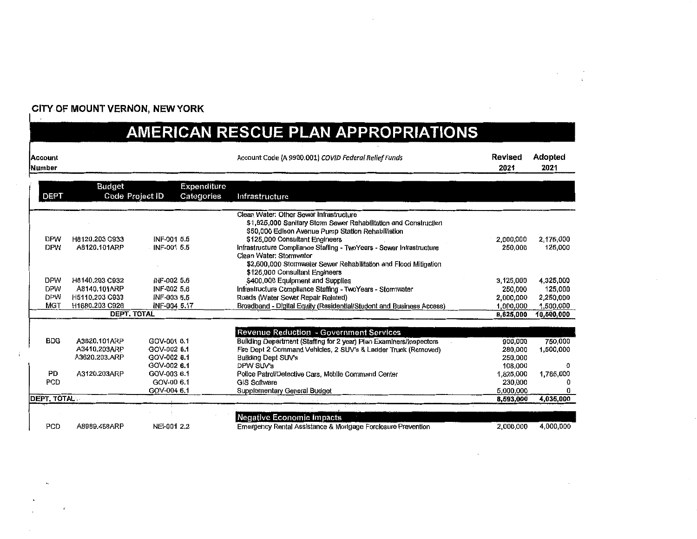#### CITY OF MOUNT VERNON, NEW YORK

### AMERICAN RESCUE PLAN APPROPRIATIONS

| <b>Account</b><br>Number |                               |                            |             | Account Code (A 9900.001) COVID Federal Relief Funds                                  | Revised<br>2021    | Adopted<br>2021 |
|--------------------------|-------------------------------|----------------------------|-------------|---------------------------------------------------------------------------------------|--------------------|-----------------|
|                          | <b>Budget</b>                 |                            | Expenditure |                                                                                       |                    |                 |
| <b>DEPT</b>              |                               | Code Project ID            | Categories  | Infrastructure                                                                        |                    |                 |
|                          |                               |                            |             | Clean Water: Other Sewer Infrastructure                                               |                    |                 |
|                          |                               |                            |             | \$1,825,000 Sanitary Storm Sewer Rehabilitation and Construction                      |                    |                 |
|                          |                               |                            |             | \$50,000 Edison Avenue Pump Station Rehabilitation                                    |                    |                 |
| <b>DPW</b>               | H8120.203 C933                | INF-001 5.5                |             | \$125,000 Consultant Engineers                                                        | 2,000,000          | 2.175,000       |
| <b>DPW</b>               | A8120.101ARP                  | INF-001 5.5                |             | Infrastructure Compliance Staffing - TwoYears - Sewer Infrastructure                  | 250,000            | 125,000         |
|                          |                               |                            |             | Clean Water: Stormwater                                                               |                    |                 |
|                          |                               |                            |             | \$2,600,000 Stormwater Sewer Rehabilitation and Flood Mitigation                      |                    |                 |
|                          |                               |                            |             | \$125,000 Consultant Engineers                                                        |                    |                 |
| <b>DPW</b>               | H8140.203 C932                | INF-002 5.6                |             | \$400,000 Equipment and Supplies                                                      | 3,125,000          | 4,325,000       |
| <b>DPW</b>               | A8140.101ARP                  | INF-002 5.6                |             | Infrastructure Compliance Staffing - TwoYears - Stormwater                            | 250,000            | 125,000         |
| <b>DPW</b>               | H5110,203 C933                | INF-003 5.5                |             | Roads (Water Sewer Repair Related)                                                    | 2,000,000          | 2,250,000       |
| <b>MGT</b>               | H1680,203 C926                | INF-004 5.17               |             | Broadband - Digital Equity (Residential/Student and Business Access)                  | 1,000,000          | 1,500,000       |
|                          |                               | DEPT. TOTAL                |             |                                                                                       | 8,625,000          | 10,500,000      |
|                          |                               |                            |             |                                                                                       |                    |                 |
|                          |                               |                            |             | Revenue Reduction - Government Services                                               |                    | 750.000         |
| <b>BDG</b>               | A3620.101ARP                  | GOV-001 6.1<br>GOV-002 6.1 |             | Building Department (Staffing for 2 year) Plan Examiners/Inspectors                   | 900,000<br>280,000 | 1,500,000       |
|                          | A3410.203ARP<br>A3620.203.ARP | GOV-002 6.1                |             | Fire Dept 2 Command Vehicles, 2 SUV's & Ladder Truck (Removed)<br>Building Dept SUV's | 250,000            |                 |
|                          |                               | GOV-002 6.1                |             | DPW SUV's                                                                             | 108,000            | 0.              |
| <b>PD</b>                | A3120.203ARP                  | GOV-003 6.1                |             | Police Patrol/Detective Cars, Mobile Command Center                                   | 1,825,000          | 1,785,000       |
| PCD                      |                               | GOV-00 6.1                 |             | <b>GIS Software</b>                                                                   | 230,000            |                 |
|                          |                               | GOV-004 6.1                |             | Supplementary General Budget                                                          | 5.000.000          |                 |
| <b>DEPT, TOTAL</b>       |                               |                            |             |                                                                                       | 8,593,000          | 4,035,000       |
|                          |                               |                            |             |                                                                                       |                    |                 |
|                          |                               |                            |             | Negative Economic Impacts                                                             |                    |                 |
| PCD                      | A8989.458ARP                  | NEI-001 2.2                |             | Emergency Rental Assistance & Mortgage Forclosure Prevention                          | 2,000,000          | 4.000.000       |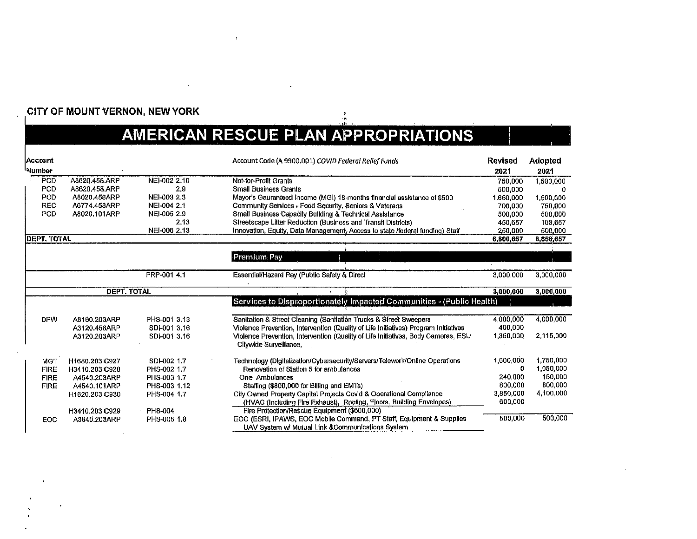#### CITY OF MOUNT VERNON, NEW YORK

## AMERICAN RESCUE PLAN APPROPRIATIONS

| Account             |                    |                | Account Code (A 9900.001) COVID Federal Relief Funds                                                        | <b>Revised</b> | <b>Adopted</b> |
|---------------------|--------------------|----------------|-------------------------------------------------------------------------------------------------------------|----------------|----------------|
| <sup>I</sup> Number |                    |                |                                                                                                             | 2021           | 2021           |
| <b>PCD</b>          | A8620.456.ARP      | NEI-002 2.10   | Not-for-Profit Grants                                                                                       | 750.000        | 1,500,000      |
| <b>PCD</b>          | A8620.456.ARP      | 2.9            | <b>Small Business Grants</b>                                                                                | 500,000        |                |
| PCD                 | A8020.45BARP       | NEI-003 2.3    | Mayor's Gauranteed Income (MGI) 18 months financial assistance of \$500                                     | 1.650,000      | 1,500,000      |
| <b>REC</b>          | A6774.458ARP       | NEI-004 2.1    | Community Services + Food Security, Seniors & Veterans                                                      | 700,000        | 750,000        |
| PCD                 | A8020,101ARP       | NEI-005 2.9    | Small Business Capacity Building & Technical Assistance                                                     | 500,000        | 500.000        |
|                     |                    | 2,13           | Streetscape Litter Reduction (Business and Transit Districts)                                               | 450,657        | 108,657        |
|                     |                    | NEI-006 2.13   | Innovation, Equity, Data Management, Access to state /federal funding) Staff                                | 250,000        | 500,000        |
| <b>DEPT. TOTAL</b>  |                    |                |                                                                                                             | 6,800,657      | 8,858,657      |
|                     |                    |                |                                                                                                             |                |                |
|                     |                    |                | Premium Pay                                                                                                 |                |                |
|                     |                    | PRP-001 4.1    | Essential/Hazard Pay (Public Safety & Direct                                                                | 3,000,000      | 3,000,000      |
|                     | <b>DEPT. TOTAL</b> |                |                                                                                                             | 3,000,000      | 3,000,000      |
|                     |                    |                | Services to Disproportionately Impacted Communities - (Public Health)                                       |                |                |
|                     |                    |                |                                                                                                             |                |                |
| <b>DPW</b>          | A8160.203ARP       | PHS-001 3.13   | Sanitation & Street Cleaning (Sanitation Trucks & Street Sweepers                                           | 4.000,000      | 4,000,000      |
|                     | A3120.458ARP       | SDI-001 3.16   | Violence Prevention, Intervention (Quality of Life Initiatives) Program Initiatives                         | 400,000        |                |
|                     | A3120,203ARP       | SDI-001 3.16   | Violence Prevention, Intervention (Quality of Life Initiatives, Body Cameras, ESU<br>Citywide Surveillance. | 1,350,000      | 2,115,000      |
| <b>MGT</b>          | H1680.203 C927     | SDI-002 1.7    | Technology (Digitalization/Cybersecurity/Servers/Telework/Online Operations                                 | 1,600,000      | 1,750.000      |
| <b>FIRE</b>         | H3410.203 C928     | PHS-002 1.7    | Renovation of Station 5 for ambulances                                                                      | 0              | 1,050,000      |
| <b>FIRE</b>         | A4540.203ARP       | PHS-003 1.7    | <b>One Ambulances</b>                                                                                       | 240,000        | 150,000        |
| <b>FIRE</b>         | A4540.101ARP       | PHS-003 1.12   | Staffing (\$800,000 for Billing and EMTs)                                                                   | 800,000        | 800,000        |
|                     | H1620.203 C930     | PHS-004 1.7    | City Owned Property Capital Projects Covid & Operational Compliance                                         | 3,850,000      | 4,100.000      |
|                     |                    |                | (HVAC (Including Fire Exhaust), Roofing, Floors, Building Envelopes)                                        | 600,000        |                |
|                     | H3410.203 C929     | <b>PHS-004</b> | Fire Protection/Rescue Equipment (\$600,000)                                                                |                |                |
| EOC                 | A3640.203ARP       | PHS-005 1.8    | EOC (ESRI, IPAWS, EOC Mobile Command, PT Staff, Equipment & Supplies                                        | 500,000        | 500,000        |
|                     |                    |                | UAV System w/ Mutual Link & Communications System                                                           |                |                |